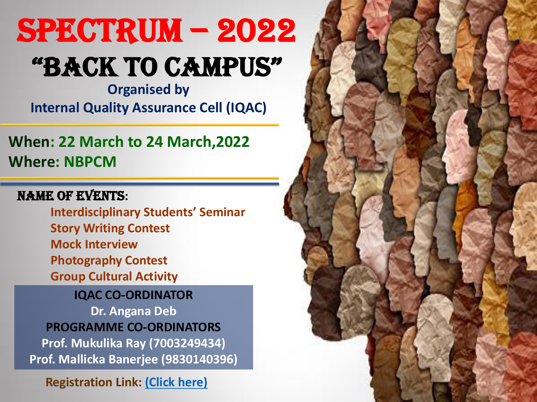**When: 22 March to 24 March,2022 Where: NBPCM**

**IQAC CO-ORDINATOR Dr. Angana Deb PROGRAMME CO-ORDINATORS Prof. Mukulika Ray (7003249434) Prof. Mallicka Banerjee (9830140396)**

#### Name of Events**:**

**Interdisciplinary Students' Seminar Story Writing Contest Mock Interview Photography Contest Group Cultural Activity**

**Registration Link: [\(Click here\)](https://forms.gle/vtbTqUqAZaH6JDyb7)**



# SPECTRUM – 2022 "BACK TO CAMPUS"

**Organised by Internal Quality Assurance Cell (IQAC)**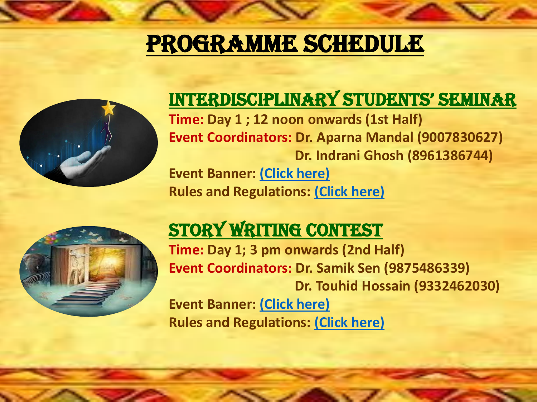## PROGRAMME SCHEDULE



#### InTerdISCIPlInAry STUdenTS' SeMInAr **Time: Day 1 ; 12 noon onwards (1st Half) Event Coordinators: Dr. Aparna Mandal (9007830627) Dr. Indrani Ghosh (8961386744)**

**Event Banner: [\(Click here\)](https://drive.google.com/file/d/1VQ-Jt0Yft2lZ9lqOKXvRnwMh75wcOrU6/view?usp=drivesdk)**

**Rules and Regulations: [\(Click here\)](https://drive.google.com/file/d/16bwPe67BhQtmyRDfMGD7Wc97mCmeFE3T/view?usp=drivesdk)**

### STORY WRITING CONTEST

**Time: Day 1; 3 pm onwards (2nd Half) Event Coordinators: Dr. Samik Sen (9875486339) Dr. Touhid Hossain (9332462030) Event Banner: [\(Click here\)](https://drive.google.com/file/d/1-FrZ2B62Y7fvzruZljy2lVZ_kzp6wyMc/view?usp=drivesdk) Rules and Regulations: [\(Click here\)](https://drive.google.com/file/d/1vg_3SRrHC0lKTNVJoX-ZOIQUQgkYr5jT/view?usp=drivesdk)**



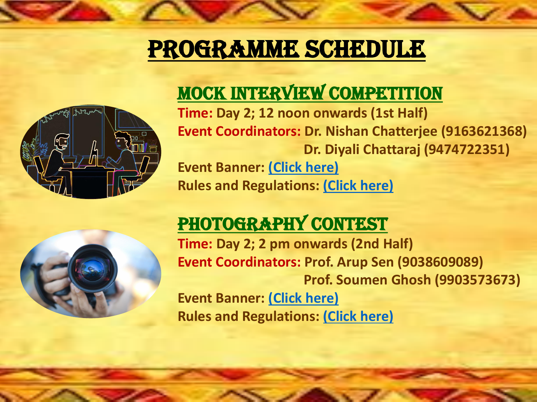# PROGRAMME SCHEDULE

#### Mock interview Competition **Time: Day 2; 12 noon onwards (1st Half) Event Coordinators: Dr. Nishan Chatterjee (9163621368) Dr. Diyali Chattaraj (9474722351)**

#### PHOTOGRAPHY CONTEST **Time: Day 2; 2 pm onwards (2nd Half) Event Coordinators: Prof. Arup Sen (9038609089) Prof. Soumen Ghosh (9903573673)**



**Event Banner: [\(Click here\)](https://drive.google.com/file/d/1BIh7Kx-GYLedHt9WRivfQbNG-iDCwlv0/view?usp=drivesdk) Rules and Regulations: [\(Click here\)](https://drive.google.com/file/d/1qTWOxhgkRs3YfdvYvrRPTUBAHk6jy3DZ/view?usp=drivesdk)**